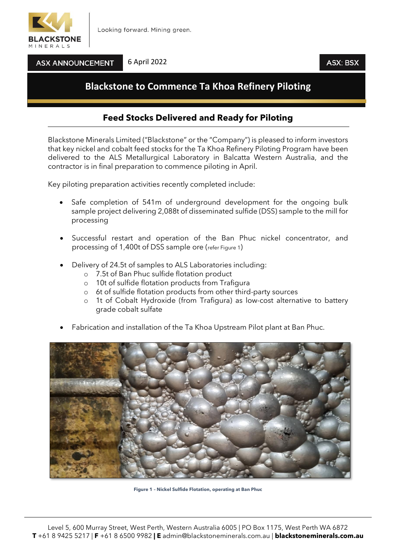

**ASX ANNOUNCEMENT** 

#### 6 April 2022

### ASX: BSX

# **Blackstone to Commence Ta Khoa Refinery Piloting**

## **Feed Stocks Delivered and Ready for Piloting**

Blackstone Minerals Limited ("Blackstone" or the "Company") is pleased to inform investors that key nickel and cobalt feed stocks for the Ta Khoa Refinery Piloting Program have been delivered to the ALS Metallurgical Laboratory in Balcatta Western Australia, and the contractor is in final preparation to commence piloting in April.

Key piloting preparation activities recently completed include:

- Safe completion of 541m of underground development for the ongoing bulk sample project delivering 2,088t of disseminated sulfide (DSS) sample to the mill for processing
- Successful restart and operation of the Ban Phuc nickel concentrator, and processing of 1,400t of DSS sample ore (refer Figure 1)
- Delivery of 24.5t of samples to ALS Laboratories including:
	- o 7.5t of Ban Phuc sulfide flotation product
	- o 10t of sulfide flotation products from Trafigura
	- o 6t of sulfide flotation products from other third-party sources
	- o 1t of Cobalt Hydroxide (from Trafigura) as low-cost alternative to battery grade cobalt sulfate
- Fabrication and installation of the Ta Khoa Upstream Pilot plant at Ban Phuc.



**Figure 1 – Nickel Sulfide Flotation, operating at Ban Phuc**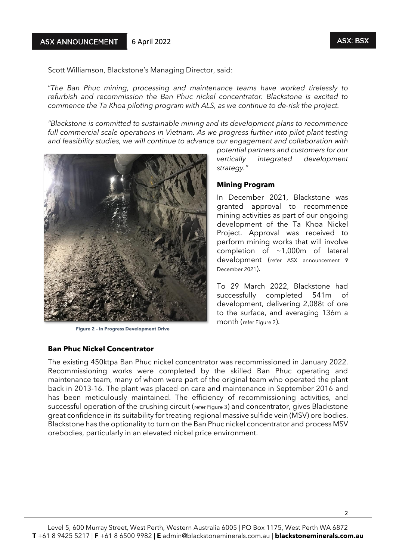Scott Williamson, Blackstone's Managing Director, said:

"*The Ban Phuc mining, processing and maintenance teams have worked tirelessly to refurbish and recommission the Ban Phuc nickel concentrator. Blackstone is excited to commence the Ta Khoa piloting program with ALS, as we continue to de-risk the project.* 

*"Blackstone is committed to sustainable mining and its development plans to recommence full commercial scale operations in Vietnam. As we progress further into pilot plant testing and feasibility studies, we will continue to advance our engagement and collaboration with* 



**Figure 2 – In Progress Development Drive**

#### **Ban Phuc Nickel Concentrator**

*potential partners and customers for our vertically integrated development strategy."*

#### **Mining Program**

In December 2021, Blackstone was granted approval to recommence mining activities as part of our ongoing development of the Ta Khoa Nickel Project. Approval was received to perform mining works that will involve completion of ~1,000m of lateral development (refer ASX announcement 9 December 2021).

To 29 March 2022, Blackstone had successfully completed 541m of development, delivering 2,088t of ore to the surface, and averaging 136m a month (refer Figure 2).

The existing 450ktpa Ban Phuc nickel concentrator was recommissioned in January 2022. Recommissioning works were completed by the skilled Ban Phuc operating and maintenance team, many of whom were part of the original team who operated the plant back in 2013-16. The plant was placed on care and maintenance in September 2016 and has been meticulously maintained. The efficiency of recommissioning activities, and successful operation of the crushing circuit (refer Figure 3) and concentrator, gives Blackstone great confidence in its suitability for treating regional massive sulfide vein (MSV) ore bodies. Blackstone has the optionality to turn on the Ban Phuc nickel concentrator and process MSV orebodies, particularly in an elevated nickel price environment.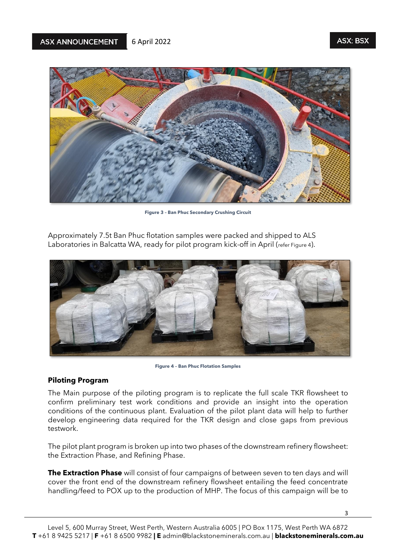

**Figure 3 – Ban Phuc Secondary Crushing Circuit**

Approximately 7.5t Ban Phuc flotation samples were packed and shipped to ALS Laboratories in Balcatta WA, ready for pilot program kick-off in April (refer Figure 4).



**Figure 4 – Ban Phuc Flotation Samples**

#### **Piloting Program**

The Main purpose of the piloting program is to replicate the full scale TKR flowsheet to confirm preliminary test work conditions and provide an insight into the operation conditions of the continuous plant. Evaluation of the pilot plant data will help to further develop engineering data required for the TKR design and close gaps from previous testwork.

The pilot plant program is broken up into two phases of the downstream refinery flowsheet: the Extraction Phase, and Refining Phase.

**The Extraction Phase** will consist of four campaigns of between seven to ten days and will cover the front end of the downstream refinery flowsheet entailing the feed concentrate handling/feed to POX up to the production of MHP. The focus of this campaign will be to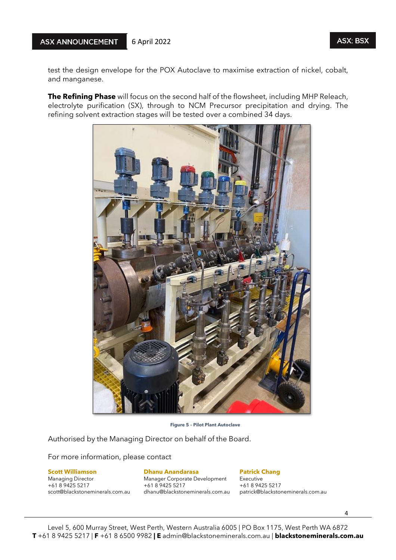test the design envelope for the POX Autoclave to maximise extraction of nickel, cobalt, and manganese.

**The Refining Phase** will focus on the second half of the flowsheet, including MHP Releach, electrolyte purification (SX), through to NCM Precursor precipitation and drying. The refining solvent extraction stages will be tested over a combined 34 days.



 **Figure 5 – Pilot Plant Autoclave**

Authorised by the Managing Director on behalf of the Board.

For more information, please contact

Managing Director Manager Corporate Development Executive<br>
+61 8 9425 5217 +61 8 9425 5217 +61 8 9425 5217

# **Scott Williamson Dhanu Anandarasa 1986 Batrick Chang**<br>
Managing Director **Patrick Changer Corporate Development** Executive

+61 8 9425 5217 +61 8 9425 5217 +61 8 9425 5217

patrick@blackstoneminerals.com.au

4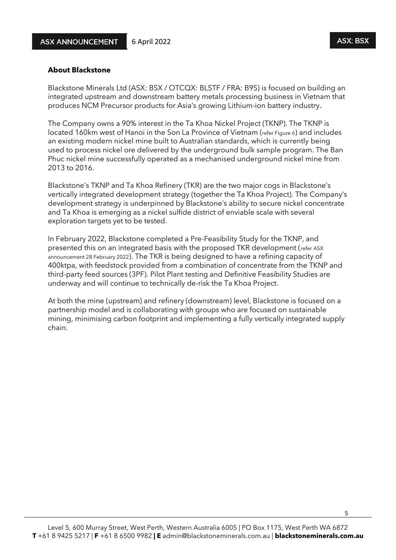### **About Blackstone**

Blackstone Minerals Ltd (ASX: BSX / OTCQX: BLSTF / FRA: B9S) is focused on building an integrated upstream and downstream battery metals processing business in Vietnam that produces NCM Precursor products for Asia's growing Lithium-ion battery industry.

The Company owns a 90% interest in the Ta Khoa Nickel Project (TKNP). The TKNP is located 160km west of Hanoi in the Son La Province of Vietnam (refer Figure 6) and includes an existing modern nickel mine built to Australian standards, which is currently being used to process nickel ore delivered by the underground bulk sample program. The Ban Phuc nickel mine successfully operated as a mechanised underground nickel mine from 2013 to 2016.

Blackstone's TKNP and Ta Khoa Refinery (TKR) are the two major cogs in Blackstone's vertically integrated development strategy (together the Ta Khoa Project). The Company's development strategy is underpinned by Blackstone's ability to secure nickel concentrate and Ta Khoa is emerging as a nickel sulfide district of enviable scale with several exploration targets yet to be tested.

In February 2022, Blackstone completed a Pre-Feasibility Study for the TKNP, and presented this on an integrated basis with the proposed TKR development (refer ASX announcement 28 February 2022). The TKR is being designed to have a refining capacity of 400ktpa, with feedstock provided from a combination of concentrate from the TKNP and third-party feed sources (3PF). Pilot Plant testing and Definitive Feasibility Studies are underway and will continue to technically de-risk the Ta Khoa Project.

At both the mine (upstream) and refinery (downstream) level, Blackstone is focused on a partnership model and is collaborating with groups who are focused on sustainable mining, minimising carbon footprint and implementing a fully vertically integrated supply chain.